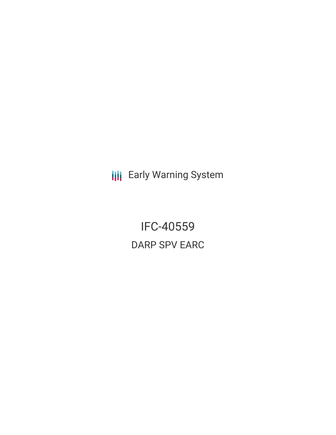**III** Early Warning System

IFC-40559 DARP SPV EARC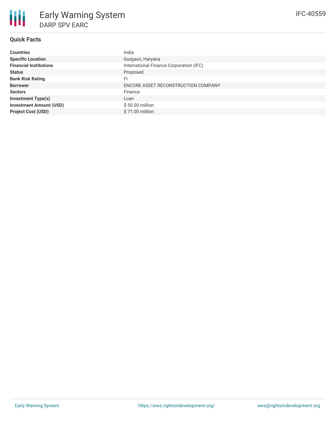## **Quick Facts**

| <b>Countries</b>               | India                                   |
|--------------------------------|-----------------------------------------|
| <b>Specific Location</b>       | Gurgaon, Haryana                        |
| <b>Financial Institutions</b>  | International Finance Corporation (IFC) |
| <b>Status</b>                  | Proposed                                |
| <b>Bank Risk Rating</b>        | FI                                      |
| <b>Borrower</b>                | ENCORE ASSET RECONSTRUCTION COMPANY     |
| <b>Sectors</b>                 | Finance                                 |
| <b>Investment Type(s)</b>      | Loan                                    |
| <b>Investment Amount (USD)</b> | \$50.00 million                         |
| <b>Project Cost (USD)</b>      | \$71.00 million                         |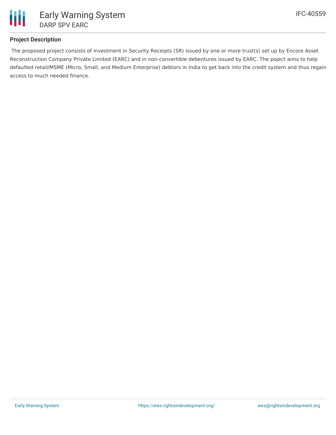

## **Project Description**

The proposed project consists of investment in Security Receipts (SR) issued by one or more trust(s) set up by Encore Asset Reconstruction Company Private Limited (EARC) and in non-convertible debentures issued by EARC. The poject aims to help defaulted retail/MSME (Micro, Small, and Medium Enterprise) debtors in India to get back into the credit system and thus regain access to much needed finance.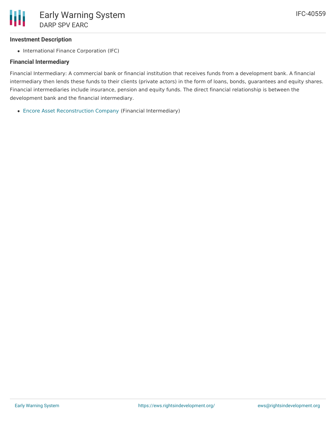## **Investment Description**

• International Finance Corporation (IFC)

## **Financial Intermediary**

Financial Intermediary: A commercial bank or financial institution that receives funds from a development bank. A financial intermediary then lends these funds to their clients (private actors) in the form of loans, bonds, guarantees and equity shares. Financial intermediaries include insurance, pension and equity funds. The direct financial relationship is between the development bank and the financial intermediary.

Encore Asset [Reconstruction](file:///actor/1269/) Company (Financial Intermediary)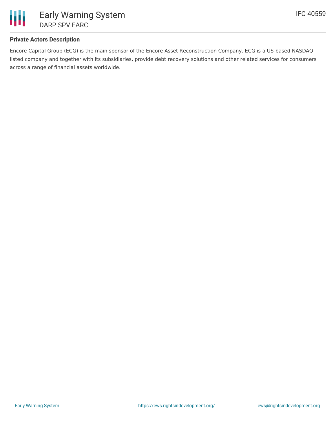

## **Private Actors Description**

Encore Capital Group (ECG) is the main sponsor of the Encore Asset Reconstruction Company. ECG is a US-based NASDAQ listed company and together with its subsidiaries, provide debt recovery solutions and other related services for consumers across a range of financial assets worldwide.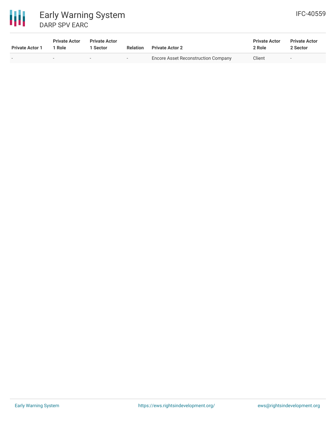

冊

# DARP SPV EARC

| <b>Private Actor 1</b> | <b>Private Actor</b><br>1 Role | <b>Private Actor</b><br>Sector | <b>Relation</b>          | <b>Private Actor 2</b>                     | <b>Private Actor</b><br>2 Role | <b>Private Actor</b><br>2 Sector |
|------------------------|--------------------------------|--------------------------------|--------------------------|--------------------------------------------|--------------------------------|----------------------------------|
|                        |                                | $\overline{\phantom{a}}$       | $\overline{\phantom{a}}$ | <b>Encore Asset Reconstruction Company</b> | Client                         | $\overline{\phantom{a}}$         |